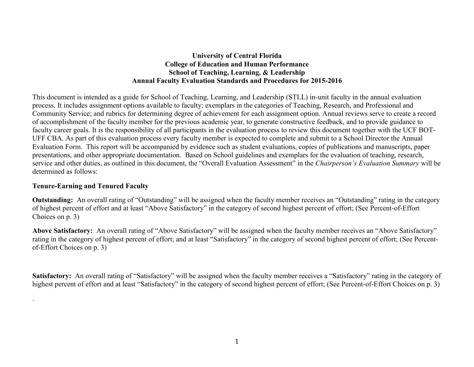### **University of Central Florida College of Education and Human Performance School of Teaching, Learning, & Leadership Annual Faculty Evaluation Standards and Procedures for 2015-2016**

This document is intended as a guide for School of Teaching, Learning, and Leadership (STLL) in-unit faculty in the annual evaluation process. It includes assignment options available to faculty; exemplars in the categories of Teaching, Research, and Professional and Community Service; and rubrics for determining degree of achievement for each assignment option. Annual reviews serve to create a record of accomplishment of the faculty member for the previous academic year, to generate constructive feedback, and to provide guidance to faculty career goals. It is the responsibility of all participants in the evaluation process to review this document together with the UCF BOT-UFF CBA. As part of this evaluation process every faculty member is expected to complete and submit to a School Director the Annual Evaluation Form. This report will be accompanied by evidence such as student evaluations, copies of publications and manuscripts, paper presentations, and other appropriate documentation. Based on School guidelines and exemplars for the evaluation of teaching, research, service and other duties, as outlined in this document, the "Overall Evaluation Assessment" in the *Chairperson's Evaluation Summary* will be determined as follows:

#### **Tenure-Earning and Tenured Faculty**

.

**Outstanding:** An overall rating of "Outstanding" will be assigned when the faculty member receives an "Outstanding" rating in the category of highest percent of effort and at least "Above Satisfactory" in the category of second highest percent of effort; (See Percent-of-Effort Choices on p. 3)

**Above Satisfactory:** An overall rating of "Above Satisfactory" will be assigned when the faculty member receives an "Above Satisfactory" rating in the category of highest percent of effort; and at least "Satisfactory" in the category of second highest percent of effort; (See Percentof-Effort Choices on p. 3)

**Satisfactory:** An overall rating of "Satisfactory" will be assigned when the faculty member receives a "Satisfactory" rating in the category of highest percent of effort and at least "Satisfactory" in the category of second highest percent of effort; (See Percent-of-Effort Choices on p. 3)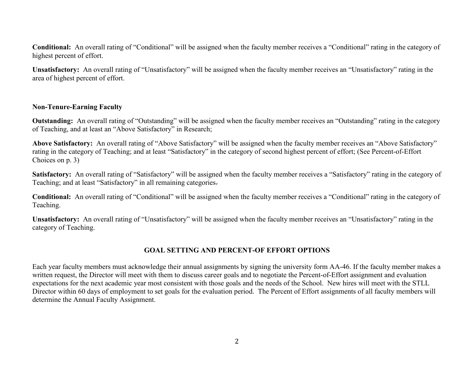**Conditional:** An overall rating of "Conditional" will be assigned when the faculty member receives a "Conditional" rating in the category of highest percent of effort.

**Unsatisfactory:** An overall rating of "Unsatisfactory" will be assigned when the faculty member receives an "Unsatisfactory" rating in the area of highest percent of effort.

#### **Non-Tenure-Earning Faculty**

**Outstanding:** An overall rating of "Outstanding" will be assigned when the faculty member receives an "Outstanding" rating in the category of Teaching, and at least an "Above Satisfactory" in Research;

**Above Satisfactory:** An overall rating of "Above Satisfactory" will be assigned when the faculty member receives an "Above Satisfactory" rating in the category of Teaching; and at least "Satisfactory" in the category of second highest percent of effort; (See Percent-of-Effort Choices on p. 3)

Satisfactory: An overall rating of "Satisfactory" will be assigned when the faculty member receives a "Satisfactory" rating in the category of Teaching; and at least "Satisfactory" in all remaining categories.

**Conditional:** An overall rating of "Conditional" will be assigned when the faculty member receives a "Conditional" rating in the category of Teaching.

**Unsatisfactory:** An overall rating of "Unsatisfactory" will be assigned when the faculty member receives an "Unsatisfactory" rating in the category of Teaching.

### **GOAL SETTING AND PERCENT-OF EFFORT OPTIONS**

Each year faculty members must acknowledge their annual assignments by signing the university form AA-46. If the faculty member makes a written request, the Director will meet with them to discuss career goals and to negotiate the Percent-of-Effort assignment and evaluation expectations for the next academic year most consistent with those goals and the needs of the School. New hires will meet with the STLL Director within 60 days of employment to set goals for the evaluation period. The Percent of Effort assignments of all faculty members will determine the Annual Faculty Assignment.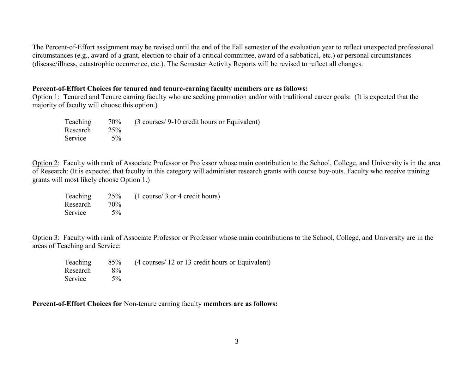The Percent-of-Effort assignment may be revised until the end of the Fall semester of the evaluation year to reflect unexpected professional circumstances (e.g., award of a grant, election to chair of a critical committee, award of a sabbatical, etc.) or personal circumstances (disease/illness, catastrophic occurrence, etc.). The Semester Activity Reports will be revised to reflect all changes.

#### **Percent-of-Effort Choices for tenured and tenure-earning faculty members are as follows:**

Option 1: Tenured and Tenure earning faculty who are seeking promotion and/or with traditional career goals: (It is expected that the majority of faculty will choose this option.)

|               | Teaching 70% (3 courses/9-10 credit hours or Equivalent) |
|---------------|----------------------------------------------------------|
| Research 25%  |                                                          |
| Service $5\%$ |                                                          |

Option 2: Faculty with rank of Associate Professor or Professor whose main contribution to the School, College, and University is in the area of Research: (It is expected that faculty in this category will administer research grants with course buy-outs. Faculty who receive training grants will most likely choose Option 1.)

Teaching 25% (1 course/ 3 or 4 credit hours) Research 70% Service 5%

Option 3: Faculty with rank of Associate Professor or Professor whose main contributions to the School, College, and University are in the areas of Teaching and Service:

|          |       | Teaching 85% (4 courses/ 12 or 13 credit hours or Equivalent) |
|----------|-------|---------------------------------------------------------------|
| Research | $8\%$ |                                                               |
| Service  | $5\%$ |                                                               |

**Percent-of-Effort Choices for** Non-tenure earning faculty **members are as follows:**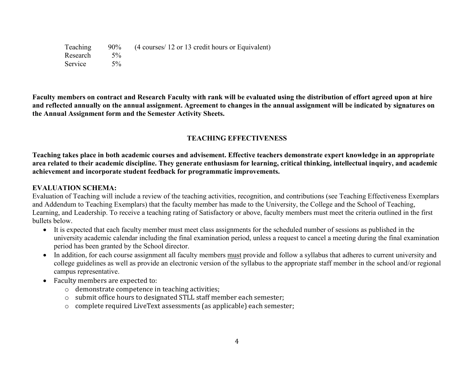Teaching 90% (4 courses/ 12 or 13 credit hours or Equivalent) Research 5% Service 5%

**Faculty members on contract and Research Faculty with rank will be evaluated using the distribution of effort agreed upon at hire and reflected annually on the annual assignment. Agreement to changes in the annual assignment will be indicated by signatures on the Annual Assignment form and the Semester Activity Sheets.** 

# **TEACHING EFFECTIVENESS**

**Teaching takes place in both academic courses and advisement. Effective teachers demonstrate expert knowledge in an appropriate area related to their academic discipline. They generate enthusiasm for learning, critical thinking, intellectual inquiry, and academic achievement and incorporate student feedback for programmatic improvements.**

### **EVALUATION SCHEMA:**

Evaluation of Teaching will include a review of the teaching activities, recognition, and contributions (see Teaching Effectiveness Exemplars and Addendum to Teaching Exemplars) that the faculty member has made to the University, the College and the School of Teaching, Learning, and Leadership. To receive a teaching rating of Satisfactory or above, faculty members must meet the criteria outlined in the first bullets below.

- It is expected that each faculty member must meet class assignments for the scheduled number of sessions as published in the university academic calendar including the final examination period, unless a request to cancel a meeting during the final examination period has been granted by the School director.
- In addition, for each course assignment all faculty members must provide and follow a syllabus that adheres to current university and college guidelines as well as provide an electronic version of the syllabus to the appropriate staff member in the school and/or regional campus representative.
- Faculty members are expected to:
	- o demonstrate competence in teaching activities;
	- o submit office hours to designated STLL staff member each semester;
	- o complete required LiveText assessments (as applicable) each semester;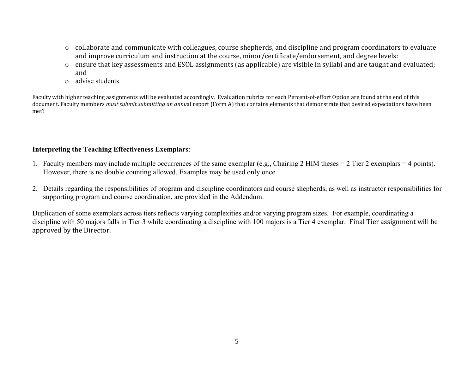- o collaborate and communicate with colleagues, course shepherds, and discipline and program coordinators to evaluate and improve curriculum and instruction at the course, minor/certificate/endorsement, and degree levels:
- o ensure that key assessments and ESOL assignments (as applicable) are visible in syllabi and are taught and evaluated; and
- o advise students.

Faculty with higher teaching assignments will be evaluated accordingly. Evaluation rubrics for each Percent-of-effort Option are found at the end of this document. Faculty members *must submit submitting an annu*al report (Form A) that contains elements that demonstrate that desired expectations have been met?

### **Interpreting the Teaching Effectiveness Exemplars**:

- 1. Faculty members may include multiple occurrences of the same exemplar (e.g., Chairing 2 HIM theses = 2 Tier 2 exemplars = 4 points). However, there is no double counting allowed. Examples may be used only once.
- 2. Details regarding the responsibilities of program and discipline coordinators and course shepherds, as well as instructor responsibilities for supporting program and course coordination, are provided in the Addendum.

Duplication of some exemplars across tiers reflects varying complexities and/or varying program sizes. For example, coordinating a discipline with 50 majors falls in Tier 3 while coordinating a discipline with 100 majors is a Tier 4 exemplar. Final Tier assignment will be approved by the Director.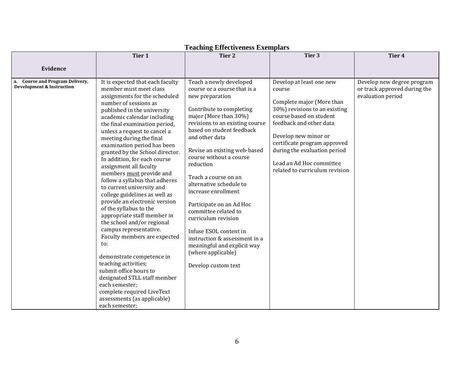|                                                                                   | Tier 1                                                                                                                                                                                                                                                                                                                                                                                                                                                                                                                                                                                                                                                                                                                                                                                                                                                                                                                                           | Tier <sub>2</sub>                                                                                                                                                                                                                                                                                                                                                                                                                                                                                                                                                                     | Tier 3                                                                                                                                                                                                                                                                                                       | Tier 4                                                                          |
|-----------------------------------------------------------------------------------|--------------------------------------------------------------------------------------------------------------------------------------------------------------------------------------------------------------------------------------------------------------------------------------------------------------------------------------------------------------------------------------------------------------------------------------------------------------------------------------------------------------------------------------------------------------------------------------------------------------------------------------------------------------------------------------------------------------------------------------------------------------------------------------------------------------------------------------------------------------------------------------------------------------------------------------------------|---------------------------------------------------------------------------------------------------------------------------------------------------------------------------------------------------------------------------------------------------------------------------------------------------------------------------------------------------------------------------------------------------------------------------------------------------------------------------------------------------------------------------------------------------------------------------------------|--------------------------------------------------------------------------------------------------------------------------------------------------------------------------------------------------------------------------------------------------------------------------------------------------------------|---------------------------------------------------------------------------------|
| Evidence                                                                          |                                                                                                                                                                                                                                                                                                                                                                                                                                                                                                                                                                                                                                                                                                                                                                                                                                                                                                                                                  |                                                                                                                                                                                                                                                                                                                                                                                                                                                                                                                                                                                       |                                                                                                                                                                                                                                                                                                              |                                                                                 |
| <b>Course and Program Delivery,</b><br>a.<br><b>Development &amp; Instruction</b> | It is expected that each faculty<br>member must meet class<br>assignments for the scheduled<br>number of sessions as<br>published in the university<br>academic calendar including<br>the final examination period,<br>unless a request to cancel a<br>meeting during the final<br>examination period has been<br>granted by the School director.<br>In addition, for each course<br>assignment all faculty<br>members must provide and<br>follow a syllabus that adheres<br>to current university and<br>college guidelines as well as<br>provide an electronic version<br>of the syllabus to the<br>appropriate staff member in<br>the school and/or regional<br>campus representative.<br>Faculty members are expected<br>to:<br>demonstrate competence in<br>teaching activities;<br>submit office hours to<br>designated STLL staff member<br>each semester;<br>complete required LiveText<br>assessments (as applicable)<br>each semester; | Teach a newly developed<br>course or a course that is a<br>new preparation<br>Contribute to completing<br>major (More than 30%)<br>revisions to an existing course<br>based on student feedback<br>and other data<br>Revise an existing web-based<br>course without a course<br>reduction<br>Teach a course on an<br>alternative schedule to<br>increase enrollment<br>Participate on an Ad Hoc<br>committee related to<br>curriculum revision<br>Infuse ESOL content in<br>instruction & assessment in a<br>meaningful and explicit way<br>(where applicable)<br>Develop custom text | Develop at least one new<br>course<br>Complete major (More than<br>30%) revisions to an existing<br>course based on student<br>feedback and other data<br>Develop new minor or<br>certificate program approved<br>during the evaluation period<br>Lead an Ad Hoc committee<br>related to curriculum revision | Develop new degree program<br>or track approved during the<br>evaluation period |

## **Teaching Effectiveness Exemplars**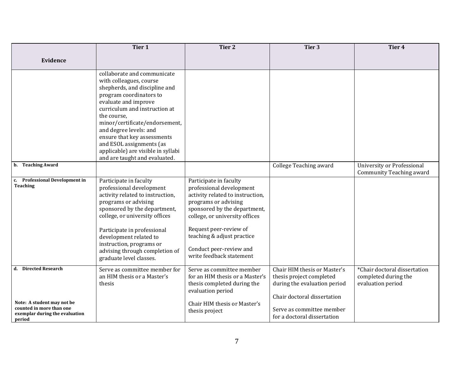| <b>Evidence</b>                                                                                                  |                                                                                                                                                                                                                                                                                                                                                                                          |                                                                                                                                                                                                                                                                                                 |                                                                                                                                                                                     |                                                                           |
|------------------------------------------------------------------------------------------------------------------|------------------------------------------------------------------------------------------------------------------------------------------------------------------------------------------------------------------------------------------------------------------------------------------------------------------------------------------------------------------------------------------|-------------------------------------------------------------------------------------------------------------------------------------------------------------------------------------------------------------------------------------------------------------------------------------------------|-------------------------------------------------------------------------------------------------------------------------------------------------------------------------------------|---------------------------------------------------------------------------|
|                                                                                                                  |                                                                                                                                                                                                                                                                                                                                                                                          |                                                                                                                                                                                                                                                                                                 |                                                                                                                                                                                     |                                                                           |
|                                                                                                                  | collaborate and communicate<br>with colleagues, course<br>shepherds, and discipline and<br>program coordinators to<br>evaluate and improve<br>curriculum and instruction at<br>the course.<br>minor/certificate/endorsement,<br>and degree levels: and<br>ensure that key assessments<br>and ESOL assignments (as<br>applicable) are visible in syllabi<br>and are taught and evaluated. |                                                                                                                                                                                                                                                                                                 |                                                                                                                                                                                     |                                                                           |
| b. Teaching Award                                                                                                |                                                                                                                                                                                                                                                                                                                                                                                          |                                                                                                                                                                                                                                                                                                 | College Teaching award                                                                                                                                                              | University or Professional<br>Community Teaching award                    |
| <b>Professional Development in</b><br>c.<br><b>Teaching</b>                                                      | Participate in faculty<br>professional development<br>activity related to instruction,<br>programs or advising<br>sponsored by the department,<br>college, or university offices<br>Participate in professional<br>development related to<br>instruction, programs or<br>advising through completion of<br>graduate level classes.                                                       | Participate in faculty<br>professional development<br>activity related to instruction,<br>programs or advising<br>sponsored by the department,<br>college, or university offices<br>Request peer-review of<br>teaching & adjust practice<br>Conduct peer-review and<br>write feedback statement |                                                                                                                                                                                     |                                                                           |
| d. Directed Research<br>Note: A student may not be<br>counted in more than one<br>exemplar during the evaluation | Serve as committee member for<br>an HIM thesis or a Master's<br>thesis                                                                                                                                                                                                                                                                                                                   | Serve as committee member<br>for an HIM thesis or a Master's<br>thesis completed during the<br>evaluation period<br>Chair HIM thesis or Master's<br>thesis project                                                                                                                              | Chair HIM thesis or Master's<br>thesis project completed<br>during the evaluation period<br>Chair doctoral dissertation<br>Serve as committee member<br>for a doctoral dissertation | *Chair doctoral dissertation<br>completed during the<br>evaluation period |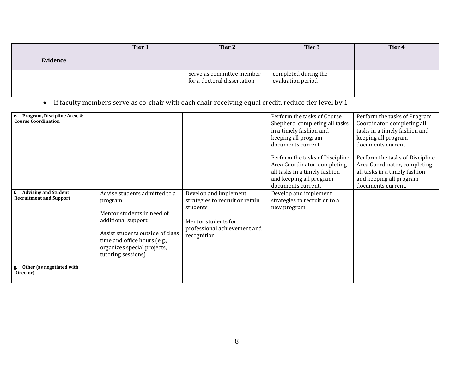|          | Tier 1 | Tier 2                                                   | Tier 3                                    | Tier 4 |
|----------|--------|----------------------------------------------------------|-------------------------------------------|--------|
| Evidence |        |                                                          |                                           |        |
|          |        | Serve as committee member<br>for a doctoral dissertation | completed during the<br>evaluation period |        |

• If faculty members serve as co-chair with each chair receiving equal credit, reduce tier level by 1

| Program, Discipline Area, &<br>е.<br><b>Course Coordination</b><br><b>Advising and Student</b><br><b>Recruitment and Support</b><br>g. Other (as negotiated with | Advise students admitted to a<br>program.<br>Mentor students in need of<br>additional support<br>Assist students outside of class<br>time and office hours (e.g.,<br>organizes special projects,<br>tutoring sessions) | Develop and implement<br>strategies to recruit or retain<br>students<br>Mentor students for<br>professional achievement and<br>recognition | Perform the tasks of Course<br>Shepherd, completing all tasks<br>in a timely fashion and<br>keeping all program<br>documents current<br>Perform the tasks of Discipline<br>Area Coordinator, completing<br>all tasks in a timely fashion<br>and keeping all program<br>documents current.<br>Develop and implement<br>strategies to recruit or to a<br>new program | Perform the tasks of Program<br>Coordinator, completing all<br>tasks in a timely fashion and<br>keeping all program<br>documents current<br>Perform the tasks of Discipline<br>Area Coordinator, completing<br>all tasks in a timely fashion<br>and keeping all program<br>documents current. |
|------------------------------------------------------------------------------------------------------------------------------------------------------------------|------------------------------------------------------------------------------------------------------------------------------------------------------------------------------------------------------------------------|--------------------------------------------------------------------------------------------------------------------------------------------|--------------------------------------------------------------------------------------------------------------------------------------------------------------------------------------------------------------------------------------------------------------------------------------------------------------------------------------------------------------------|-----------------------------------------------------------------------------------------------------------------------------------------------------------------------------------------------------------------------------------------------------------------------------------------------|
| Director)                                                                                                                                                        |                                                                                                                                                                                                                        |                                                                                                                                            |                                                                                                                                                                                                                                                                                                                                                                    |                                                                                                                                                                                                                                                                                               |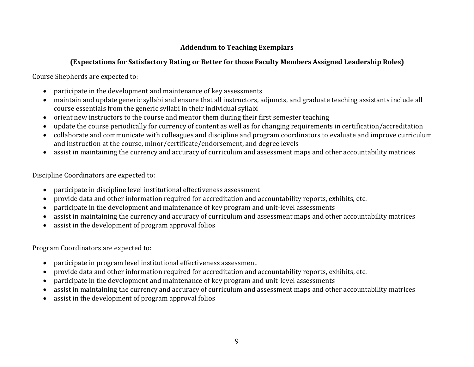# **Addendum to Teaching Exemplars**

# **(Expectations for Satisfactory Rating or Better for those Faculty Members Assigned Leadership Roles)**

Course Shepherds are expected to:

- participate in the development and maintenance of key assessments
- maintain and update generic syllabi and ensure that all instructors, adjuncts, and graduate teaching assistants include all course essentials from the generic syllabi in their individual syllabi
- orient new instructors to the course and mentor them during their first semester teaching
- update the course periodically for currency of content as well as for changing requirements in certification/accreditation
- collaborate and communicate with colleagues and discipline and program coordinators to evaluate and improve curriculum and instruction at the course, minor/certificate/endorsement, and degree levels
- assist in maintaining the currency and accuracy of curriculum and assessment maps and other accountability matrices

Discipline Coordinators are expected to:

- participate in discipline level institutional effectiveness assessment
- provide data and other information required for accreditation and accountability reports, exhibits, etc.
- participate in the development and maintenance of key program and unit-level assessments
- assist in maintaining the currency and accuracy of curriculum and assessment maps and other accountability matrices
- assist in the development of program approval folios

Program Coordinators are expected to:

- participate in program level institutional effectiveness assessment
- provide data and other information required for accreditation and accountability reports, exhibits, etc.
- participate in the development and maintenance of key program and unit-level assessments
- assist in maintaining the currency and accuracy of curriculum and assessment maps and other accountability matrices
- assist in the development of program approval folios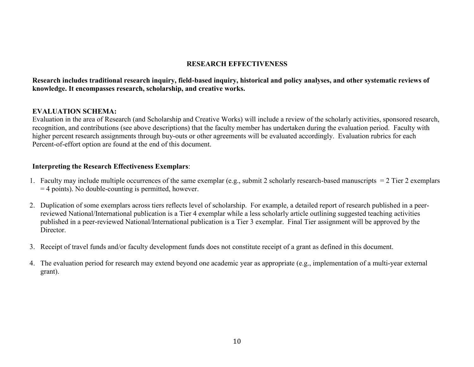### **RESEARCH EFFECTIVENESS**

### **Research includes traditional research inquiry, field-based inquiry, historical and policy analyses, and other systematic reviews of knowledge. It encompasses research, scholarship, and creative works.**

### **EVALUATION SCHEMA:**

Evaluation in the area of Research (and Scholarship and Creative Works) will include a review of the scholarly activities, sponsored research, recognition, and contributions (see above descriptions) that the faculty member has undertaken during the evaluation period. Faculty with higher percent research assignments through buy-outs or other agreements will be evaluated accordingly. Evaluation rubrics for each Percent-of-effort option are found at the end of this document.

### **Interpreting the Research Effectiveness Exemplars**:

- 1. Faculty may include multiple occurrences of the same exemplar (e.g., submit 2 scholarly research-based manuscripts = 2 Tier 2 exemplars  $=$  4 points). No double-counting is permitted, however.
- 2. Duplication of some exemplars across tiers reflects level of scholarship. For example, a detailed report of research published in a peerreviewed National/International publication is a Tier 4 exemplar while a less scholarly article outlining suggested teaching activities published in a peer-reviewed National/International publication is a Tier 3 exemplar. Final Tier assignment will be approved by the Director.
- 3. Receipt of travel funds and/or faculty development funds does not constitute receipt of a grant as defined in this document.
- 4. The evaluation period for research may extend beyond one academic year as appropriate (e.g., implementation of a multi-year external grant).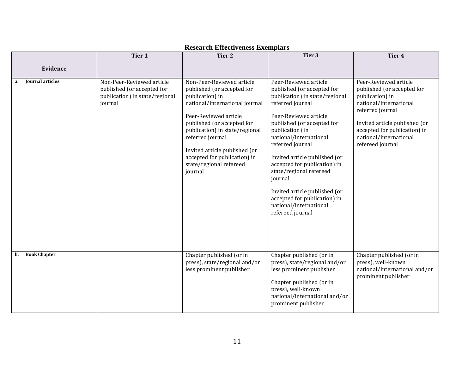|                           | Tier 1                                                                                               | Tier <sub>2</sub>                                                                                                                                                                                                                                                                                                                | Tier 3                                                                                                                                                                                                                                                                                                                                                                                                                                                  | Tier 4                                                                                                                                                                                                                              |
|---------------------------|------------------------------------------------------------------------------------------------------|----------------------------------------------------------------------------------------------------------------------------------------------------------------------------------------------------------------------------------------------------------------------------------------------------------------------------------|---------------------------------------------------------------------------------------------------------------------------------------------------------------------------------------------------------------------------------------------------------------------------------------------------------------------------------------------------------------------------------------------------------------------------------------------------------|-------------------------------------------------------------------------------------------------------------------------------------------------------------------------------------------------------------------------------------|
| Evidence                  |                                                                                                      |                                                                                                                                                                                                                                                                                                                                  |                                                                                                                                                                                                                                                                                                                                                                                                                                                         |                                                                                                                                                                                                                                     |
| Journal articles<br>а.    | Non-Peer-Reviewed article<br>published (or accepted for<br>publication) in state/regional<br>journal | Non-Peer-Reviewed article<br>published (or accepted for<br>publication) in<br>national/international journal<br>Peer-Reviewed article<br>published (or accepted for<br>publication) in state/regional<br>referred journal<br>Invited article published (or<br>accepted for publication) in<br>state/regional refereed<br>journal | Peer-Reviewed article<br>published (or accepted for<br>publication) in state/regional<br>referred journal<br>Peer-Reviewed article<br>published (or accepted for<br>publication) in<br>national/international<br>referred journal<br>Invited article published (or<br>accepted for publication) in<br>state/regional refereed<br>journal<br>Invited article published (or<br>accepted for publication) in<br>national/international<br>refereed journal | Peer-Reviewed article<br>published (or accepted for<br>publication) in<br>national/international<br>referred journal<br>Invited article published (or<br>accepted for publication) in<br>national/international<br>refereed journal |
| <b>Book Chapter</b><br>b. |                                                                                                      | Chapter published (or in<br>press), state/regional and/or<br>less prominent publisher                                                                                                                                                                                                                                            | Chapter published (or in<br>press), state/regional and/or<br>less prominent publisher<br>Chapter published (or in<br>press), well-known<br>national/international and/or<br>prominent publisher                                                                                                                                                                                                                                                         | Chapter published (or in<br>press), well-known<br>national/international and/or<br>prominent publisher                                                                                                                              |

# **Research Effectiveness Exemplars**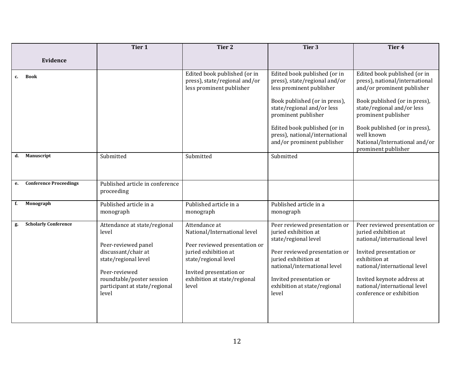|    |                               | Tier 1                                                                                                                                                                                              | Tier <sub>2</sub>                                                                                                                                                                                  | Tier 3                                                                                                                                                                                                                                                                          | Tier <sub>4</sub>                                                                                                                                                                                                                                                                         |
|----|-------------------------------|-----------------------------------------------------------------------------------------------------------------------------------------------------------------------------------------------------|----------------------------------------------------------------------------------------------------------------------------------------------------------------------------------------------------|---------------------------------------------------------------------------------------------------------------------------------------------------------------------------------------------------------------------------------------------------------------------------------|-------------------------------------------------------------------------------------------------------------------------------------------------------------------------------------------------------------------------------------------------------------------------------------------|
|    | Evidence                      |                                                                                                                                                                                                     |                                                                                                                                                                                                    |                                                                                                                                                                                                                                                                                 |                                                                                                                                                                                                                                                                                           |
| c. | <b>Book</b>                   |                                                                                                                                                                                                     | Edited book published (or in<br>press), state/regional and/or<br>less prominent publisher                                                                                                          | Edited book published (or in<br>press), state/regional and/or<br>less prominent publisher<br>Book published (or in press),<br>state/regional and/or less<br>prominent publisher<br>Edited book published (or in<br>press), national/international<br>and/or prominent publisher | Edited book published (or in<br>press), national/international<br>and/or prominent publisher<br>Book published (or in press),<br>state/regional and/or less<br>prominent publisher<br>Book published (or in press),<br>well known<br>National/International and/or<br>prominent publisher |
| d. | Manuscript                    | Submitted                                                                                                                                                                                           | Submitted                                                                                                                                                                                          | Submitted                                                                                                                                                                                                                                                                       |                                                                                                                                                                                                                                                                                           |
| e. | <b>Conference Proceedings</b> | Published article in conference<br>proceeding                                                                                                                                                       |                                                                                                                                                                                                    |                                                                                                                                                                                                                                                                                 |                                                                                                                                                                                                                                                                                           |
| f. | Monograph                     | Published article in a<br>monograph                                                                                                                                                                 | Published article in a<br>monograph                                                                                                                                                                | Published article in a<br>monograph                                                                                                                                                                                                                                             |                                                                                                                                                                                                                                                                                           |
| g. | <b>Scholarly Conference</b>   | Attendance at state/regional<br>level<br>Peer-reviewed panel<br>discussant/chair at<br>state/regional level<br>Peer-reviewed<br>roundtable/poster session<br>participant at state/regional<br>level | Attendance at<br>National/International level<br>Peer reviewed presentation or<br>juried exhibition at<br>state/regional level<br>Invited presentation or<br>exhibition at state/regional<br>level | Peer reviewed presentation or<br>juried exhibition at<br>state/regional level<br>Peer reviewed presentation or<br>juried exhibition at<br>national/international level<br>Invited presentation or<br>exhibition at state/regional<br>level                                      | Peer reviewed presentation or<br>juried exhibition at<br>national/international level<br>Invited presentation or<br>exhibition at<br>national/international level<br>Invited keynote address at<br>national/international level<br>conference or exhibition                               |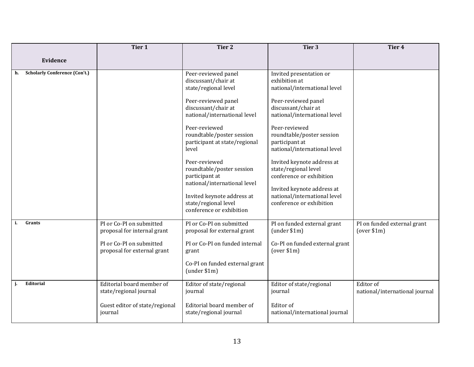|                                            | Tier 1                                                                                                             | <b>Tier 2</b>                                                                                                                                                                                                                                                                                                                                                                                                              | Tier 3                                                                                                                                                                                                                                                                                                                                                                                                                             | Tier 4                                      |
|--------------------------------------------|--------------------------------------------------------------------------------------------------------------------|----------------------------------------------------------------------------------------------------------------------------------------------------------------------------------------------------------------------------------------------------------------------------------------------------------------------------------------------------------------------------------------------------------------------------|------------------------------------------------------------------------------------------------------------------------------------------------------------------------------------------------------------------------------------------------------------------------------------------------------------------------------------------------------------------------------------------------------------------------------------|---------------------------------------------|
| Evidence                                   |                                                                                                                    |                                                                                                                                                                                                                                                                                                                                                                                                                            |                                                                                                                                                                                                                                                                                                                                                                                                                                    |                                             |
| <b>Scholarly Conference (Con't.)</b><br>h. |                                                                                                                    | Peer-reviewed panel<br>discussant/chair at<br>state/regional level<br>Peer-reviewed panel<br>discussant/chair at<br>national/international level<br>Peer-reviewed<br>roundtable/poster session<br>participant at state/regional<br>level<br>Peer-reviewed<br>roundtable/poster session<br>participant at<br>national/international level<br>Invited keynote address at<br>state/regional level<br>conference or exhibition | Invited presentation or<br>exhibition at<br>national/international level<br>Peer-reviewed panel<br>discussant/chair at<br>national/international level<br>Peer-reviewed<br>roundtable/poster session<br>participant at<br>national/international level<br>Invited keynote address at<br>state/regional level<br>conference or exhibition<br>Invited keynote address at<br>national/international level<br>conference or exhibition |                                             |
| Grants<br>i.                               | PI or Co-PI on submitted<br>proposal for internal grant<br>PI or Co-PI on submitted<br>proposal for external grant | PI or Co-PI on submitted<br>proposal for external grant<br>PI or Co-PI on funded internal<br>grant<br>Co-PI on funded external grant<br>(under \$1m)                                                                                                                                                                                                                                                                       | PI on funded external grant<br>(under \$1m)<br>Co-PI on funded external grant<br>(over \$1m)                                                                                                                                                                                                                                                                                                                                       | PI on funded external grant<br>(over \$1m)  |
| Editorial<br>j.                            | Editorial board member of<br>state/regional journal<br>Guest editor of state/regional<br>journal                   | Editor of state/regional<br>journal<br>Editorial board member of<br>state/regional journal                                                                                                                                                                                                                                                                                                                                 | Editor of state/regional<br>journal<br>Editor of<br>national/international journal                                                                                                                                                                                                                                                                                                                                                 | Editor of<br>national/international journal |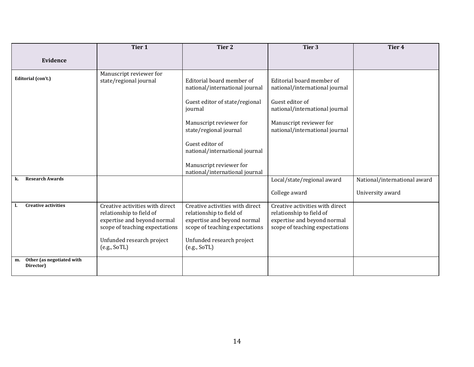|                                              | Tier 1                                                                                                                                                                    | Tier 2                                                                                                                                                                                                                                                                          | Tier 3                                                                                                                                                                        | Tier <sub>4</sub>                                |
|----------------------------------------------|---------------------------------------------------------------------------------------------------------------------------------------------------------------------------|---------------------------------------------------------------------------------------------------------------------------------------------------------------------------------------------------------------------------------------------------------------------------------|-------------------------------------------------------------------------------------------------------------------------------------------------------------------------------|--------------------------------------------------|
| Evidence                                     |                                                                                                                                                                           |                                                                                                                                                                                                                                                                                 |                                                                                                                                                                               |                                                  |
| Editorial (con't.)                           | Manuscript reviewer for<br>state/regional journal                                                                                                                         | Editorial board member of<br>national/international journal<br>Guest editor of state/regional<br>journal<br>Manuscript reviewer for<br>state/regional journal<br>Guest editor of<br>national/international journal<br>Manuscript reviewer for<br>national/international journal | Editorial board member of<br>national/international journal<br>Guest editor of<br>national/international journal<br>Manuscript reviewer for<br>national/international journal |                                                  |
| <b>Research Awards</b><br>k.                 |                                                                                                                                                                           |                                                                                                                                                                                                                                                                                 | Local/state/regional award<br>College award                                                                                                                                   | National/international award<br>University award |
| <b>Creative activities</b>                   | Creative activities with direct<br>relationship to field of<br>expertise and beyond normal<br>scope of teaching expectations<br>Unfunded research project<br>(e.g., SoTL) | Creative activities with direct<br>relationship to field of<br>expertise and beyond normal<br>scope of teaching expectations<br>Unfunded research project<br>(e.g., SoTL)                                                                                                       | Creative activities with direct<br>relationship to field of<br>expertise and beyond normal<br>scope of teaching expectations                                                  |                                                  |
| Other (as negotiated with<br>m.<br>Director) |                                                                                                                                                                           |                                                                                                                                                                                                                                                                                 |                                                                                                                                                                               |                                                  |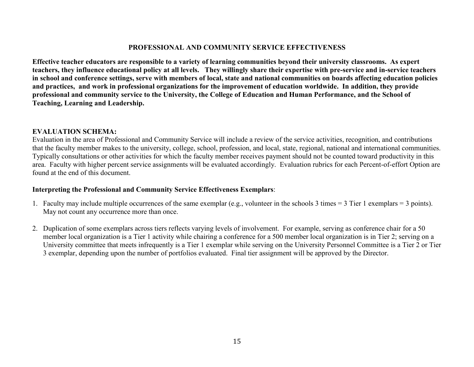#### **PROFESSIONAL AND COMMUNITY SERVICE EFFECTIVENESS**

**Effective teacher educators are responsible to a variety of learning communities beyond their university classrooms. As expert teachers, they influence educational policy at all levels. They willingly share their expertise with pre-service and in-service teachers in school and conference settings, serve with members of local, state and national communities on boards affecting education policies and practices, and work in professional organizations for the improvement of education worldwide. In addition, they provide professional and community service to the University, the College of Education and Human Performance, and the School of Teaching, Learning and Leadership.** 

#### **EVALUATION SCHEMA:**

Evaluation in the area of Professional and Community Service will include a review of the service activities, recognition, and contributions that the faculty member makes to the university, college, school, profession, and local, state, regional, national and international communities. Typically consultations or other activities for which the faculty member receives payment should not be counted toward productivity in this area. Faculty with higher percent service assignments will be evaluated accordingly. Evaluation rubrics for each Percent-of-effort Option are found at the end of this document.

### **Interpreting the Professional and Community Service Effectiveness Exemplars**:

- 1. Faculty may include multiple occurrences of the same exemplar (e.g., volunteer in the schools 3 times = 3 Tier 1 exemplars = 3 points). May not count any occurrence more than once.
- 2. Duplication of some exemplars across tiers reflects varying levels of involvement. For example, serving as conference chair for a 50 member local organization is a Tier 1 activity while chairing a conference for a 500 member local organization is in Tier 2; serving on a University committee that meets infrequently is a Tier 1 exemplar while serving on the University Personnel Committee is a Tier 2 or Tier 3 exemplar, depending upon the number of portfolios evaluated. Final tier assignment will be approved by the Director.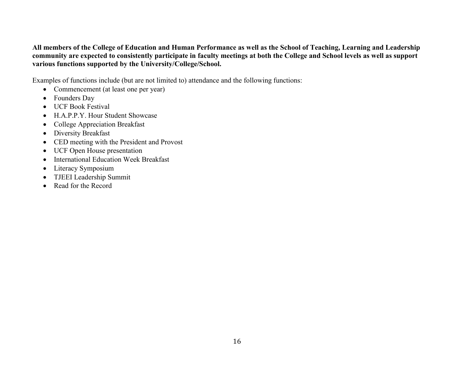### **All members of the College of Education and Human Performance as well as the School of Teaching, Learning and Leadership community are expected to consistently participate in faculty meetings at both the College and School levels as well as support various functions supported by the University/College/School.**

Examples of functions include (but are not limited to) attendance and the following functions:

- Commencement (at least one per year)
- Founders Day
- UCF Book Festival
- H.A.P.P.Y. Hour Student Showcase
- College Appreciation Breakfast
- Diversity Breakfast
- CED meeting with the President and Provost
- UCF Open House presentation
- International Education Week Breakfast
- Literacy Symposium
- TJEEI Leadership Summit
- Read for the Record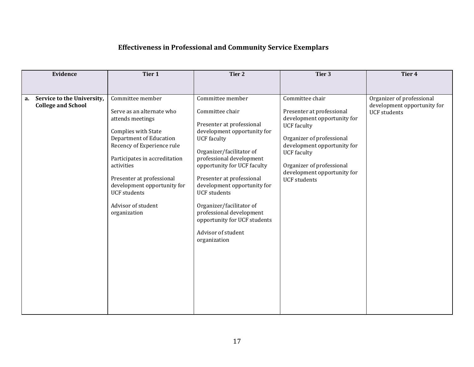# **Effectiveness in Professional and Community Service Exemplars**

|    | Evidence                                                | Tier 1                                                                                                                                                                                                                                                                                                | Tier 2                                                                                                                                                                                                                                                                                                                                                                                                    | Tier 3                                                                                                                                                                                                                                              | Tier 4                                                                          |
|----|---------------------------------------------------------|-------------------------------------------------------------------------------------------------------------------------------------------------------------------------------------------------------------------------------------------------------------------------------------------------------|-----------------------------------------------------------------------------------------------------------------------------------------------------------------------------------------------------------------------------------------------------------------------------------------------------------------------------------------------------------------------------------------------------------|-----------------------------------------------------------------------------------------------------------------------------------------------------------------------------------------------------------------------------------------------------|---------------------------------------------------------------------------------|
|    |                                                         | Committee member                                                                                                                                                                                                                                                                                      | Committee member                                                                                                                                                                                                                                                                                                                                                                                          | Committee chair                                                                                                                                                                                                                                     |                                                                                 |
| a. | Service to the University,<br><b>College and School</b> | Serve as an alternate who<br>attends meetings<br>Complies with State<br>Department of Education<br>Recency of Experience rule<br>Participates in accreditation<br>activities<br>Presenter at professional<br>development opportunity for<br><b>UCF</b> students<br>Advisor of student<br>organization | Committee chair<br>Presenter at professional<br>development opportunity for<br><b>UCF</b> faculty<br>Organizer/facilitator of<br>professional development<br>opportunity for UCF faculty<br>Presenter at professional<br>development opportunity for<br><b>UCF</b> students<br>Organizer/facilitator of<br>professional development<br>opportunity for UCF students<br>Advisor of student<br>organization | Presenter at professional<br>development opportunity for<br><b>UCF</b> faculty<br>Organizer of professional<br>development opportunity for<br><b>UCF</b> faculty<br>Organizer of professional<br>development opportunity for<br><b>UCF</b> students | Organizer of professional<br>development opportunity for<br><b>UCF</b> students |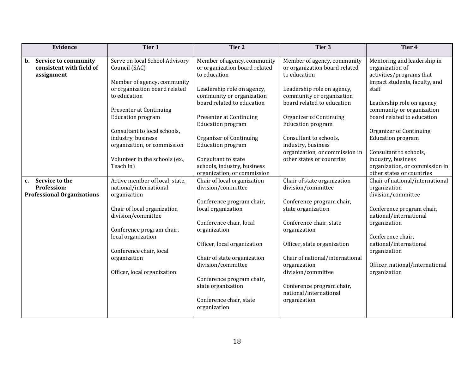| Evidence                                                                        | Tier 1                                                                                                                                                                                                                                                                                                                     | Tier 2                                                                                                                                                                                                                                                                                                                                                                                 | Tier 3                                                                                                                                                                                                                                                                                                                                      | Tier 4                                                                                                                                                                                                                                                                                                                                                                              |
|---------------------------------------------------------------------------------|----------------------------------------------------------------------------------------------------------------------------------------------------------------------------------------------------------------------------------------------------------------------------------------------------------------------------|----------------------------------------------------------------------------------------------------------------------------------------------------------------------------------------------------------------------------------------------------------------------------------------------------------------------------------------------------------------------------------------|---------------------------------------------------------------------------------------------------------------------------------------------------------------------------------------------------------------------------------------------------------------------------------------------------------------------------------------------|-------------------------------------------------------------------------------------------------------------------------------------------------------------------------------------------------------------------------------------------------------------------------------------------------------------------------------------------------------------------------------------|
| Service to community<br>$\mathbf b$ .<br>consistent with field of<br>assignment | Serve on local School Advisory<br>Council (SAC)<br>Member of agency, community<br>or organization board related<br>to education<br>Presenter at Continuing<br><b>Education program</b><br>Consultant to local schools,<br>industry, business<br>organization, or commission<br>Volunteer in the schools (ex.,<br>Teach In) | Member of agency, community<br>or organization board related<br>to education<br>Leadership role on agency,<br>community or organization<br>board related to education<br><b>Presenter at Continuing</b><br><b>Education program</b><br><b>Organizer of Continuing</b><br><b>Education program</b><br>Consultant to state<br>schools, industry, business<br>organization, or commission | Member of agency, community<br>or organization board related<br>to education<br>Leadership role on agency,<br>community or organization<br>board related to education<br>Organizer of Continuing<br><b>Education program</b><br>Consultant to schools,<br>industry, business<br>organization, or commission in<br>other states or countries | Mentoring and leadership in<br>organization of<br>activities/programs that<br>impact students, faculty, and<br>staff<br>Leadership role on agency,<br>community or organization<br>board related to education<br>Organizer of Continuing<br><b>Education program</b><br>Consultant to schools,<br>industry, business<br>organization, or commission in<br>other states or countries |
| Service to the<br>c.<br>Profession:<br><b>Professional Organizations</b>        | Active member of local, state,<br>national/international<br>organization<br>Chair of local organization<br>division/committee<br>Conference program chair,<br>local organization<br>Conference chair, local<br>organization<br>Officer, local organization                                                                 | Chair of local organization<br>division/committee<br>Conference program chair,<br>local organization<br>Conference chair, local<br>organization<br>Officer, local organization<br>Chair of state organization<br>division/committee<br>Conference program chair,<br>state organization<br>Conference chair, state<br>organization                                                      | Chair of state organization<br>division/committee<br>Conference program chair,<br>state organization<br>Conference chair, state<br>organization<br>Officer, state organization<br>Chair of national/international<br>organization<br>division/committee<br>Conference program chair,<br>national/international<br>organization              | Chair of national/international<br>organization<br>division/committee<br>Conference program chair,<br>national/international<br>organization<br>Conference chair,<br>national/international<br>organization<br>Officer, national/international<br>organization                                                                                                                      |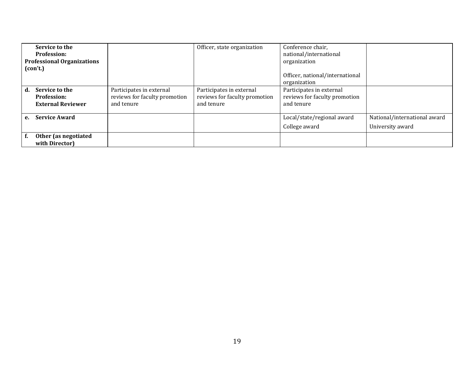|    | Service to the<br><b>Profession:</b><br><b>Professional Organizations</b><br>(con't.) |                                                                         | Officer, state organization                                             | Conference chair,<br>national/international<br>organization<br>Officer, national/international<br>organization |                                                  |
|----|---------------------------------------------------------------------------------------|-------------------------------------------------------------------------|-------------------------------------------------------------------------|----------------------------------------------------------------------------------------------------------------|--------------------------------------------------|
| d. | Service to the<br><b>Profession:</b><br><b>External Reviewer</b>                      | Participates in external<br>reviews for faculty promotion<br>and tenure | Participates in external<br>reviews for faculty promotion<br>and tenure | Participates in external<br>reviews for faculty promotion<br>and tenure                                        |                                                  |
| е. | <b>Service Award</b>                                                                  |                                                                         |                                                                         | Local/state/regional award<br>College award                                                                    | National/international award<br>University award |
|    | Other (as negotiated                                                                  |                                                                         |                                                                         |                                                                                                                |                                                  |
|    | with Director)                                                                        |                                                                         |                                                                         |                                                                                                                |                                                  |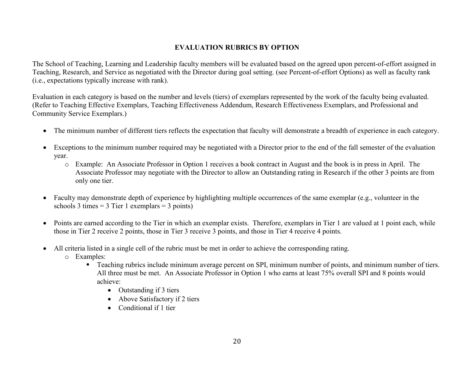### **EVALUATION RUBRICS BY OPTION**

The School of Teaching, Learning and Leadership faculty members will be evaluated based on the agreed upon percent-of-effort assigned in Teaching, Research, and Service as negotiated with the Director during goal setting. (see Percent-of-effort Options) as well as faculty rank (i.e., expectations typically increase with rank).

Evaluation in each category is based on the number and levels (tiers) of exemplars represented by the work of the faculty being evaluated. (Refer to Teaching Effective Exemplars, Teaching Effectiveness Addendum, Research Effectiveness Exemplars, and Professional and Community Service Exemplars.)

- The minimum number of different tiers reflects the expectation that faculty will demonstrate a breadth of experience in each category.
- Exceptions to the minimum number required may be negotiated with a Director prior to the end of the fall semester of the evaluation year.
	- o Example: An Associate Professor in Option 1 receives a book contract in August and the book is in press in April. The Associate Professor may negotiate with the Director to allow an Outstanding rating in Research if the other 3 points are from only one tier.
- Faculty may demonstrate depth of experience by highlighting multiple occurrences of the same exemplar (e.g., volunteer in the schools 3 times  $= 3$  Tier 1 exemplars  $= 3$  points)
- Points are earned according to the Tier in which an exemplar exists. Therefore, exemplars in Tier 1 are valued at 1 point each, while those in Tier 2 receive 2 points, those in Tier 3 receive 3 points, and those in Tier 4 receive 4 points.
- All criteria listed in a single cell of the rubric must be met in order to achieve the corresponding rating.
	- o Examples:
		- **Teaching rubrics include minimum average percent on SPI, minimum number of points, and minimum number of tiers.** All three must be met. An Associate Professor in Option 1 who earns at least 75% overall SPI and 8 points would achieve:
			- Outstanding if 3 tiers
			- Above Satisfactory if 2 tiers
			- Conditional if 1 tier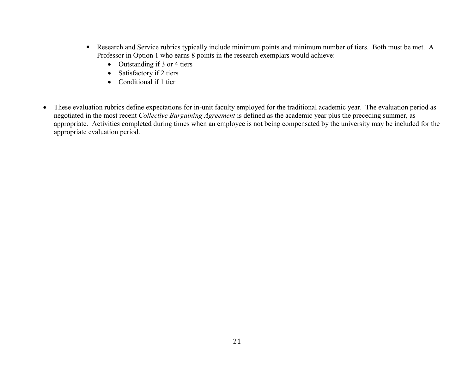- Research and Service rubrics typically include minimum points and minimum number of tiers. Both must be met. A Professor in Option 1 who earns 8 points in the research exemplars would achieve:
	- Outstanding if 3 or 4 tiers
	- Satisfactory if 2 tiers
	- Conditional if 1 tier
- These evaluation rubrics define expectations for in-unit faculty employed for the traditional academic year. The evaluation period as negotiated in the most recent *Collective Bargaining Agreement* is defined as the academic year plus the preceding summer, as appropriate. Activities completed during times when an employee is not being compensated by the university may be included for the appropriate evaluation period.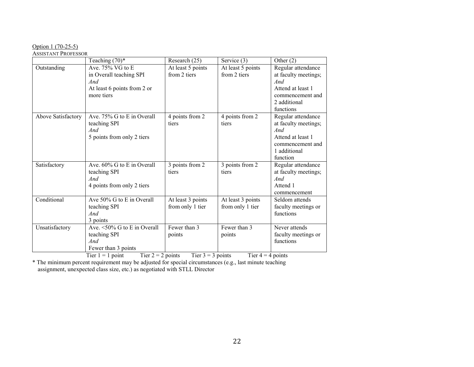#### Option 1 (70-25-5)

#### ASSISTANT PROFESSOR

|                    | Teaching $(70)$ *                                                                                  | Research (25)                         | Service (3)                           | Other $(2)$                                                                                                             |
|--------------------|----------------------------------------------------------------------------------------------------|---------------------------------------|---------------------------------------|-------------------------------------------------------------------------------------------------------------------------|
| Outstanding        | Ave. $75\%$ VG to E<br>in Overall teaching SPI<br>And<br>At least 6 points from 2 or<br>more tiers | At least 5 points<br>from 2 tiers     | At least 5 points<br>from 2 tiers     | Regular attendance<br>at faculty meetings;<br>And<br>Attend at least 1<br>commencement and<br>2 additional<br>functions |
| Above Satisfactory | Ave. 75% G to E in Overall<br>teaching SPI<br>And<br>5 points from only 2 tiers                    | 4 points from 2<br>tiers              | 4 points from 2<br>tiers              | Regular attendance<br>at faculty meetings;<br>And<br>Attend at least 1<br>commencement and<br>1 additional<br>function  |
| Satisfactory       | Ave. 60% G to E in Overall<br>teaching SPI<br>And<br>4 points from only 2 tiers                    | 3 points from 2<br>tiers              | 3 points from 2<br>tiers              | Regular attendance<br>at faculty meetings;<br>And<br>Attend 1<br>commencement                                           |
| Conditional        | Ave 50% G to E in Overall<br>teaching SPI<br>And<br>3 points                                       | At least 3 points<br>from only 1 tier | At least 3 points<br>from only 1 tier | Seldom attends<br>faculty meetings or<br>functions                                                                      |
| Unsatisfactory     | Ave. $\sqrt{50\% G}$ to E in Overall<br>teaching SPI<br>And<br>Fewer than 3 points                 | Fewer than 3<br>points                | Fewer than 3<br>points                | Never attends<br>faculty meetings or<br>functions                                                                       |

Tier 1 = 1 point Tier 2 = 2 points Tier 3 = 3 points Tier 4 = 4 points

\* The minimum percent requirement may be adjusted for special circumstances (e.g., last minute teaching assignment, unexpected class size, etc.) as negotiated with STLL Director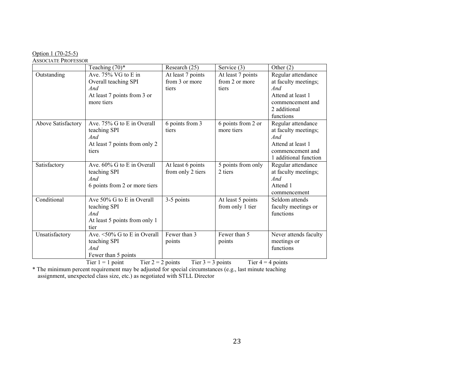#### Option 1 (70-25-5)

ASSOCIATE PROFESSOR

|                    | Teaching $(70)$ *                                                                               | Research (25)                                | Service (3)                                  | Other $(2)$                                                                                                             |
|--------------------|-------------------------------------------------------------------------------------------------|----------------------------------------------|----------------------------------------------|-------------------------------------------------------------------------------------------------------------------------|
| Outstanding        | Ave. 75% VG to E in<br>Overall teaching SPI<br>And<br>At least 7 points from 3 or<br>more tiers | At least 7 points<br>from 3 or more<br>tiers | At least 7 points<br>from 2 or more<br>tiers | Regular attendance<br>at faculty meetings;<br>And<br>Attend at least 1<br>commencement and<br>2 additional<br>functions |
| Above Satisfactory | Ave. 75% G to E in Overall<br>teaching SPI<br>And<br>At least 7 points from only 2<br>tiers     | 6 points from 3<br>tiers                     | 6 points from 2 or<br>more tiers             | Regular attendance<br>at faculty meetings;<br>And<br>Attend at least 1<br>commencement and<br>1 additional function     |
| Satisfactory       | Ave. 60% G to E in Overall<br>teaching SPI<br>And<br>6 points from 2 or more tiers              | At least 6 points<br>from only 2 tiers       | 5 points from only<br>2 tiers                | Regular attendance<br>at faculty meetings;<br>And<br>Attend 1<br>commencement                                           |
| Conditional        | Ave 50% G to E in Overall<br>teaching SPI<br>And<br>At least 5 points from only 1<br>tier       | 3-5 points                                   | At least 5 points<br>from only 1 tier        | Seldom attends<br>faculty meetings or<br>functions                                                                      |
| Unsatisfactory     | Ave. <50% G to E in Overall<br>teaching SPI<br>And<br>Fewer than 5 points                       | Fewer than 3<br>points                       | Fewer than 5<br>points                       | Never attends faculty<br>meetings or<br>functions                                                                       |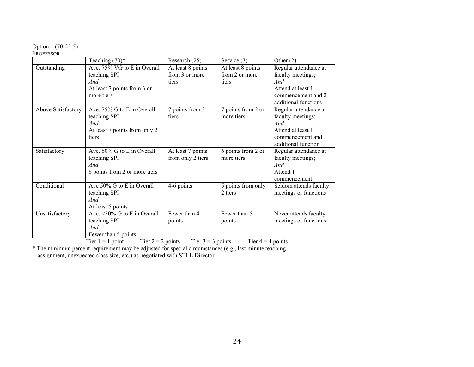#### Option 1 (70-25-5)

#### PROFESSOR

|                    | Teaching $(70)$ *             | Research (25)     | Service (3)        | Other $(2)$            |
|--------------------|-------------------------------|-------------------|--------------------|------------------------|
| Outstanding        | Ave. 75% VG to E in Overall   | At least 8 points | At least 8 points  | Regular attendance at  |
|                    | teaching SPI                  | from 3 or more    | from 2 or more     | faculty meetings;      |
|                    | And                           | tiers             | tiers              | And                    |
|                    | At least 7 points from 3 or   |                   |                    | Attend at least 1      |
|                    | more tiers                    |                   |                    | commencement and 2     |
|                    |                               |                   |                    | additional functions   |
| Above Satisfactory | Ave. 75% G to E in Overall    | 7 points from 3   | 7 points from 2 or | Regular attendance at  |
|                    | teaching SPI                  | tiers             | more tiers         | faculty meetings;      |
|                    | And                           |                   |                    | And                    |
|                    | At least 7 points from only 2 |                   |                    | Attend at least 1      |
|                    | tiers                         |                   |                    | commencement and 1     |
|                    |                               |                   |                    | additional function    |
| Satisfactory       | Ave. 60% G to E in Overall    | At least 7 points | 6 points from 2 or | Regular attendance at  |
|                    | teaching SPI                  | from only 2 tiers | more tiers         | faculty meetings;      |
|                    | And                           |                   |                    | And                    |
|                    | 6 points from 2 or more tiers |                   |                    | Attend 1               |
|                    |                               |                   |                    | commencement           |
| Conditional        | Ave 50% G to E in Overall     | 4-6 points        | 5 points from only | Seldom attends faculty |
|                    | teaching SPI                  |                   | 2 tiers            | meetings or functions  |
|                    | And                           |                   |                    |                        |
|                    | At least 5 points             |                   |                    |                        |
| Unsatisfactory     | Ave. <50% G to E in Overall   | Fewer than 4      | Fewer than 5       | Never attends faculty  |
|                    | teaching SPI                  | points            | points             | meetings or functions  |
|                    | And                           |                   |                    |                        |
|                    | Fewer than 5 points           |                   |                    |                        |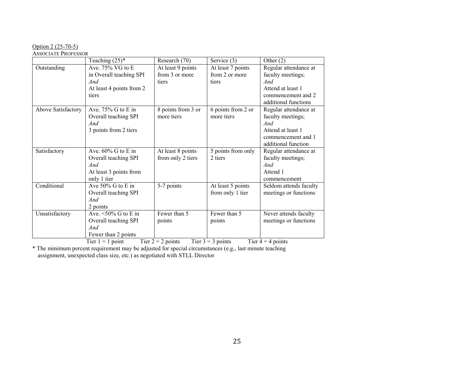# Option 2 (25-70-5)

# ASSOCIATE PROFESSOR

|                    | Teaching $(25)^*$          | Research (70)      | Service (3)        | Other $(2)$            |
|--------------------|----------------------------|--------------------|--------------------|------------------------|
| Outstanding        | Ave. 75% VG to E           | At least 9 points  | At least 7 points  | Regular attendance at  |
|                    | in Overall teaching SPI    | from 3 or more     | from 2 or more     | faculty meetings;      |
|                    | And                        | tiers              | tiers              | And                    |
|                    | At least 4 points from 2   |                    |                    | Attend at least 1      |
|                    | tiers                      |                    |                    | commencement and 2     |
|                    |                            |                    |                    | additional functions   |
| Above Satisfactory | Ave. $75\%$ G to E in      | 8 points from 3 or | 6 points from 2 or | Regular attendance at  |
|                    | Overall teaching SPI       | more tiers         | more tiers         | faculty meetings;      |
|                    | And                        |                    |                    | And                    |
|                    | 3 points from 2 tiers      |                    |                    | Attend at least 1      |
|                    |                            |                    |                    | commencement and 1     |
|                    |                            |                    |                    | additional function    |
| Satisfactory       | Ave. $60\%$ G to E in      | At least 8 points  | 5 points from only | Regular attendance at  |
|                    | Overall teaching SPI       | from only 2 tiers  | 2 tiers            | faculty meetings;      |
|                    | And                        |                    |                    | And                    |
|                    | At least 3 points from     |                    |                    | Attend 1               |
|                    | only 1 tier                |                    |                    | commencement           |
| Conditional        | Ave 50% G to E in          | 5-7 points         | At least 5 points  | Seldom attends faculty |
|                    | Overall teaching SPI       |                    | from only 1 tier   | meetings or functions  |
|                    | And                        |                    |                    |                        |
|                    | 2 points                   |                    |                    |                        |
| Unsatisfactory     | Ave. $\leq 50\%$ G to E in | Fewer than 5       | Fewer than 5       | Never attends faculty  |
|                    | Overall teaching SPI       | points             | points             | meetings or functions  |
|                    | And                        |                    |                    |                        |
|                    | Fewer than 2 points        |                    |                    |                        |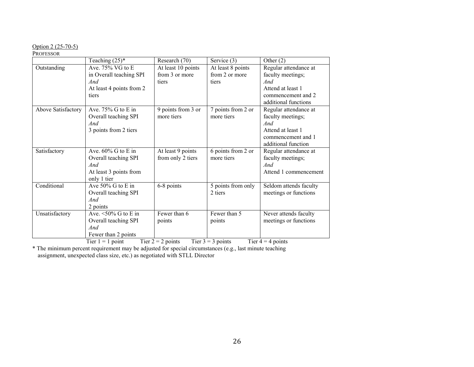#### Option 2 (25-70-5)

#### PROFESSOR

|                    | Teaching $(25)^*$          | Research (70)      | Service (3)        | Other $(2)$            |
|--------------------|----------------------------|--------------------|--------------------|------------------------|
| Outstanding        | Ave. $75\%$ VG to E        | At least 10 points | At least 8 points  | Regular attendance at  |
|                    | in Overall teaching SPI    | from 3 or more     | from 2 or more     | faculty meetings;      |
|                    | And                        | tiers              | tiers              | And                    |
|                    | At least 4 points from 2   |                    |                    | Attend at least 1      |
|                    | tiers                      |                    |                    | commencement and 2     |
|                    |                            |                    |                    | additional functions   |
| Above Satisfactory | Ave. $75\%$ G to E in      | 9 points from 3 or | 7 points from 2 or | Regular attendance at  |
|                    | Overall teaching SPI       | more tiers         | more tiers         | faculty meetings;      |
|                    | And                        |                    |                    | And                    |
|                    | 3 points from 2 tiers      |                    |                    | Attend at least 1      |
|                    |                            |                    |                    | commencement and 1     |
|                    |                            |                    |                    | additional function    |
| Satisfactory       | Ave. $60\%$ G to E in      | At least 9 points  | 6 points from 2 or | Regular attendance at  |
|                    | Overall teaching SPI       | from only 2 tiers  | more tiers         | faculty meetings;      |
|                    | And                        |                    |                    | And                    |
|                    | At least 3 points from     |                    |                    | Attend 1 commencement  |
|                    | only 1 tier                |                    |                    |                        |
| Conditional        | Ave $50\%$ G to E in       | 6-8 points         | 5 points from only | Seldom attends faculty |
|                    | Overall teaching SPI       |                    | 2 tiers            | meetings or functions  |
|                    | And                        |                    |                    |                        |
|                    | 2 points                   |                    |                    |                        |
| Unsatisfactory     | Ave. $\leq 50\%$ G to E in | Fewer than 6       | Fewer than 5       | Never attends faculty  |
|                    | Overall teaching SPI       | points             | points             | meetings or functions  |
|                    | And                        |                    |                    |                        |
|                    | Fewer than 2 points        |                    |                    |                        |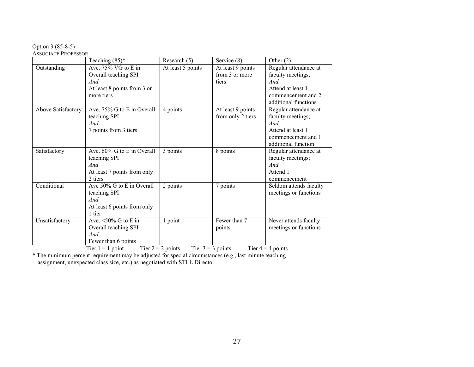#### Option 3 (85-8-5)

#### ASSOCIATE PROFESSOR

|                    | Teaching $(85)^*$                                                                       | Research (5)      | Service (8)       | Other $(2)$            |  |
|--------------------|-----------------------------------------------------------------------------------------|-------------------|-------------------|------------------------|--|
| Outstanding        | Ave. 75% VG to E in                                                                     | At least 5 points | At least 9 points | Regular attendance at  |  |
|                    | Overall teaching SPI                                                                    |                   | from 3 or more    | faculty meetings;      |  |
|                    | And                                                                                     |                   | tiers             | And                    |  |
|                    | At least 8 points from 3 or                                                             |                   |                   | Attend at least 1      |  |
|                    | more tiers                                                                              |                   |                   | commencement and 2     |  |
|                    |                                                                                         |                   |                   | additional functions   |  |
| Above Satisfactory | Ave. 75% G to E in Overall                                                              | 4 points          | At least 9 points | Regular attendance at  |  |
|                    | teaching SPI                                                                            |                   | from only 2 tiers | faculty meetings;      |  |
|                    | And                                                                                     |                   |                   | And                    |  |
|                    | 7 points from 3 tiers                                                                   |                   |                   | Attend at least 1      |  |
|                    |                                                                                         |                   |                   | commencement and 1     |  |
|                    |                                                                                         |                   |                   | additional function    |  |
| Satisfactory       | Ave. 60% G to E in Overall                                                              | $3$ points        | 8 points          | Regular attendance at  |  |
|                    | teaching SPI                                                                            |                   |                   | faculty meetings;      |  |
|                    | And                                                                                     |                   |                   | And                    |  |
|                    | At least 7 points from only                                                             |                   |                   | Attend 1               |  |
|                    | 2 tiers                                                                                 |                   |                   | commencement           |  |
| Conditional        | Ave 50% G to E in Overall                                                               | 2 points          | 7 points          | Seldom attends faculty |  |
|                    | teaching SPI                                                                            |                   |                   | meetings or functions  |  |
|                    | And                                                                                     |                   |                   |                        |  |
|                    | At least 6 points from only                                                             |                   |                   |                        |  |
|                    | 1 tier                                                                                  |                   |                   |                        |  |
| Unsatisfactory     | Ave. $\leq 50\%$ G to E in                                                              | 1 point           | Fewer than 7      | Never attends faculty  |  |
|                    | Overall teaching SPI                                                                    |                   | points            | meetings or functions  |  |
|                    | And                                                                                     |                   |                   |                        |  |
|                    | Fewer than 6 points                                                                     |                   |                   |                        |  |
|                    | Tier $2 = 2$ points<br>Tier $3 = 3$ points<br>Tier $4 = 4$ points<br>Tier $1 = 1$ point |                   |                   |                        |  |

\* The minimum percent requirement may be adjusted for special circumstances (e.g., last minute teaching assignment, unexpected class size, etc.) as negotiated with STLL Director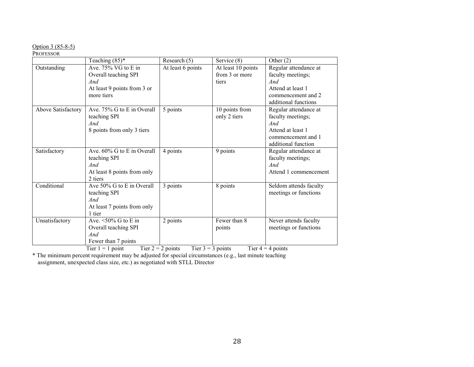#### Option 3 (85-8-5)

#### PROFESSOR

|                    | Teaching $(85)^*$                                                                                | Research (5)                                                                                              | Service (8)                                   | Other $(2)$                                                                                                                                                                           |
|--------------------|--------------------------------------------------------------------------------------------------|-----------------------------------------------------------------------------------------------------------|-----------------------------------------------|---------------------------------------------------------------------------------------------------------------------------------------------------------------------------------------|
| Outstanding        | Ave. 75% VG to E in<br>Overall teaching SPI<br>And<br>At least 9 points from 3 or<br>more tiers  | At least 6 points                                                                                         | At least 10 points<br>from 3 or more<br>tiers | Regular attendance at<br>faculty meetings;<br>And<br>Attend at least 1<br>commencement and 2<br>additional functions                                                                  |
| Above Satisfactory | Ave. 75% G to E in Overall<br>teaching SPI<br>And<br>8 points from only 3 tiers                  | 5 points                                                                                                  | 10 points from<br>only 2 tiers                | Regular attendance at<br>faculty meetings;<br>And<br>Attend at least 1<br>commencement and 1<br>additional function                                                                   |
| Satisfactory       | Ave. 60% G to E in Overall<br>teaching SPI<br>And<br>At least 8 points from only<br>2 tiers      | 4 points                                                                                                  | 9 points                                      | Regular attendance at<br>faculty meetings;<br>And<br>Attend 1 commencement                                                                                                            |
| Conditional        | Ave 50% G to E in Overall<br>teaching SPI<br>And<br>At least 7 points from only<br>1 tier        | 3 points                                                                                                  | 8 points                                      | Seldom attends faculty<br>meetings or functions                                                                                                                                       |
| Unsatisfactory     | Ave. $\leq 50\%$ G to E in<br>Overall teaching SPI<br>And<br>Fewer than 7 points<br>$m! = 1 - 1$ | 2 points<br>$\mathbf{m}$ $\mathbf{a}$ $\mathbf{a}$ $\mathbf{b}$<br>$\mathbf{m}$ $\mathbf{a}$ $\mathbf{a}$ | Fewer than 8<br>points<br>$\sim$ $\sim$       | Never attends faculty<br>meetings or functions<br>$\mathbf{m}$ and $\mathbf{m}$ and $\mathbf{m}$ and $\mathbf{m}$ and $\mathbf{m}$ and $\mathbf{m}$ and $\mathbf{m}$ and $\mathbf{m}$ |

Tier  $1 = 1$  point Tier  $2 = 2$  points Tier  $3 = 3$  points Tier  $4 = 4$  points \* The minimum percent requirement may be adjusted for special circumstances (e.g., last minute teaching

assignment, unexpected class size, etc.) as negotiated with STLL Director